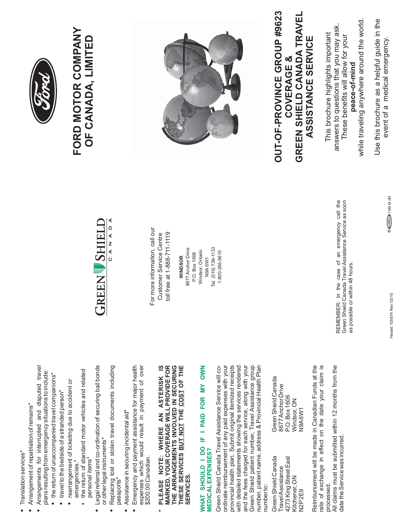- Translation services\* Translation services\* **•**
- Arrangements for interrupted and disputed travel Arrangements for interrupted and disputed travel • Arrangement of repatriation of remains\* Arrangement of repatriation of remains\* **•**
	- plans resulting from emergency situations to include: plans resulting from emergency situations to include: • the return of unaccompanied travel companions\* the return of unaccompanied travel companions\*
		- travel to the bedside of a stranded person\* travel to the bedside of a stranded person\*
- rearrangement of ticketing due to accident or rearrangement of ticketing due to accident or emergencies.\* emergencies.\*
- the return of standard motor vehicles and related the return of standard motor vehicles and related personal items\* personal items\* **•**
- Legal referral and co-ordination of securing bail bonds or other legal instruments\* or other legal instruments\* **•**
- Replacing lost or stolen travel documents including Replacing lost or stolen travel documents including passports\* **•**
- Assistance in securing incidental aid\* Assistance in securing incidental aid\* **•**
- Emergency and payment assistance for major health expenses which would result in payment of over expenses which would result in payment of over Emergency and payment assistance for major health \$200.00 Canadian. \$200.00 Canadian. **•**
- THE ARRANGEMENTS INVOLVED IN SECURING PLEASE NOTE: WHERE AN ASTERISK IS MARKED, YOUR COVERAGE WILL PROVIDE FOR **MARKED, YOUR COVERAGE WILL PROVIDE FOR** THESE SERVICES BUT NOT THE COST OF THE **\* PLEASE NOTE: WHERE AN ASTERISK IS THE ARRANGEMENTS INVOLVED IN SECURING THESE SERVICES THE OF THE BUT NOT COST SERVICES. SERVICES**  $\ast$

## WHAT SHOULD I DO IF I PAID FOR MY OWN **WHAT SHOULD I DO IF I PAID FOR MY OWN MEDICAL EXPENSES? MEDICAL EXPENSES?**

Green Shield patient number, Travel Assistance group<br>number, patient name, address & Provincial Health Plan Green Shield Canada Travel Assistance Service will co-Green Shield Canada Travel Assistance Service will coordinate reimbursement of any paid expenses with your ordinate reimbursement of any paid expenses with your provincial health plan. Submit original itemized receipts provincial health plan. Submit original itemized receipts with detailed statements showing the services rendered and the fees charged for each service, along with your and the fees charged for each service, along with your Green Shield patient number, Travel Assistance group with detailed statements showing the services rendered number, patient name, address & Provincial Health Plan numberto: number to:

4273 King Street East P.O. Box 1606 Kitchener, ON Windsor, ON N2P 2E9 N9A 6W1 Green Shield Canada 4273 King Street East Travel Assistance Kitchener, ON **J2P2E9** 

Green Shield Canada Green Shield Canada Green Shield Canada 8677 Anchor Drive TravelAssistance 8677Anchor Drive P.O. Box 1606<br>Windsor, ON **N9A6W1**  Reimbursement will be made in Canadian Funds at the rate of exchange in effect on the date your claim is rate of exchange in effect on the date your claim is Reimbursement will be made in Canadian Funds at the processed. processed.

All claims must be submitted within 12 months from the All claims must be submitted within 12 months from the date the Service was incurred. date the Service was incurred.



For more information, call our For more information, call our Customer Service Centre toll free at 1-888-711-1119 toll free at 1-888-711-1119 Customer Service Centre

Tel. (519) 739-1133 8677 Anchor Drive Tel. (519) 739-1133 8677 Anchor Drive Windsor, Ontario 1-800-265-5615 Windsor, Ontario 1-800-265-5615 P.O. Box 1606 P.O. Box 1606 WINDSOR **WINDSOR** N9A 6W1

REMEMBER: In the case of an emergency call the<br>Green Shield Canada Travel Assistance Service as soon REMEMBER: In the case of an emergency call the Green Shield Canada Travel Assistance Service as soon as possible or within 48 hours. as possible or within 48 hours.



## **FORD MOTOR COMPANY** FORD MOTOR COMPANY OF CANADA, LIMITED **OF CANADA, LIMITED**



## OUT-OF-PROVINCE GROUP #9623 **OUT-OF-PROVINCE GROUP #9623** COVERAGE & **COVERAGE &**

GREEN SHIELD CANADA TRAVEL **GREEN SHIELD CANADA TRAVEL** This brochure highlights important This brochure highlights important ASSISTANCE SERVICE **ASSISTANCE SERVICE**

answers to questions that you may ask. These benefits will allow for your

These benefits will allow for your

peace-of-mind

answers to questions that you may ask.

while traveling anywhere around the world. while traveling anywhere around the world. Use this brochure as a helpful guide in the Use this brochure as a helpful guide in the **peace-of-mind**

event of a medical emergency. event of a medical emergency.

® COD 1185 M BT

Herald 105874 Rev 03/10 Herald 105874 Rev 03/10